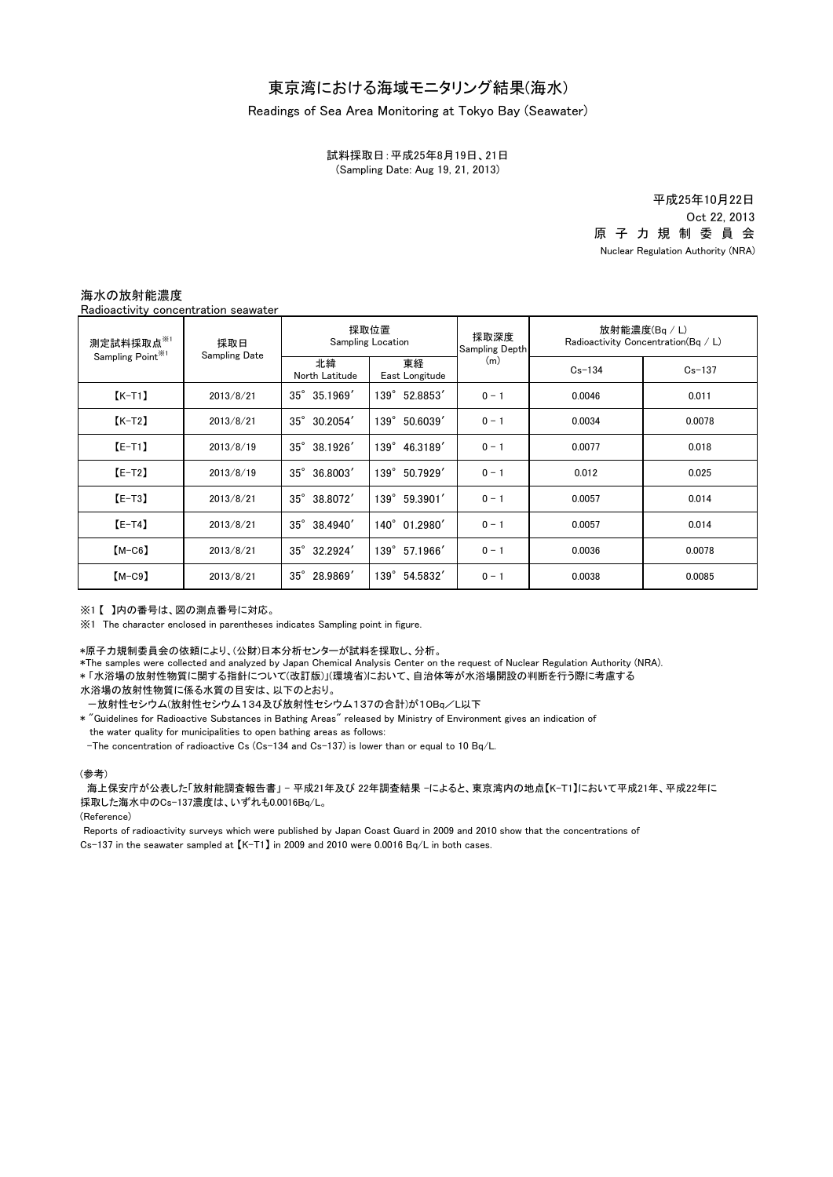## Readings of Sea Area Monitoring at Tokyo Bay (Seawater)

(Sampling Date: Aug 19, 21, 2013) 試料採取日:平成25年8月19日、21日

> 原 子 力 規 制 委 員 会 Nuclear Regulation Authority (NRA) 平成25年10月22日 Oct 22, 2013

## 海水の放射能濃度

Radioactivity concentration seawater

| 測定試料採取点※1<br>Sampling Point <sup>*1</sup> | 採取日<br><b>Sampling Date</b> | 採取位置<br><b>Sampling Location</b> |                      | 採取深度<br>Sampling Depth | 放射能濃度(Bq / L)<br>Radioactivity Concentration $(Bq / L)$ |            |
|-------------------------------------------|-----------------------------|----------------------------------|----------------------|------------------------|---------------------------------------------------------|------------|
|                                           |                             | 北緯<br>North Latitude             | 東経<br>East Longitude | (m)                    | $Cs - 134$                                              | $Cs - 137$ |
| $K-T1$                                    | 2013/8/21                   | $35^{\circ}$ 35.1969'            | 139° 52.8853'        | $0 - 1$                | 0.0046                                                  | 0.011      |
| $K-T2$                                    | 2013/8/21                   | $35^{\circ}$ 30.2054'            | 139° 50.6039'        | $0 - 1$                | 0.0034                                                  | 0.0078     |
| $E-T1$                                    | 2013/8/19                   | $35^{\circ}$ 38.1926'            | 139° 46.3189'        | $0 - 1$                | 0.0077                                                  | 0.018      |
| $E-T2$                                    | 2013/8/19                   | $35^\circ$<br>36.8003            | 139° 50.7929'        | $0 - 1$                | 0.012                                                   | 0.025      |
| $[E-T3]$                                  | 2013/8/21                   | $35^{\circ}$<br>38.8072          | 139° 59.3901'        | $0 - 1$                | 0.0057                                                  | 0.014      |
| $[E-T4]$                                  | 2013/8/21                   | $35^{\circ}$<br>38.4940'         | 140° 01.2980'        | $0 - 1$                | 0.0057                                                  | 0.014      |
| $[M-C6]$                                  | 2013/8/21                   | $35^\circ$<br>32.2924            | 139° 57.1966'        | $0 - 1$                | 0.0036                                                  | 0.0078     |
| $(M-C9)$                                  | 2013/8/21                   | $35^\circ$<br>28.9869'           | 139° 54.5832'        | $0 - 1$                | 0.0038                                                  | 0.0085     |

※1 【 】内の番号は、図の測点番号に対応。

※1 The character enclosed in parentheses indicates Sampling point in figure.

\*原子力規制委員会の依頼により、(公財)日本分析センターが試料を採取し、分析。

\*The samples were collected and analyzed by Japan Chemical Analysis Center on the request of Nuclear Regulation Authority (NRA).

\* 「水浴場の放射性物質に関する指針について(改訂版)」(環境省)において、自治体等が水浴場開設の判断を行う際に考慮する

水浴場の放射性物質に係る水質の目安は、以下のとおり。

-放射性セシウム(放射性セシウム134及び放射性セシウム137の合計)が10Bq/L以下

\* "Guidelines for Radioactive Substances in Bathing Areas" released by Ministry of Environment gives an indication of the water quality for municipalities to open bathing areas as follows:

-The concentration of radioactive Cs (Cs-134 and Cs-137) is lower than or equal to 10 Bq/L.

## (参考)

海上保安庁が公表した「放射能調査報告書」 - 平成21年及び 22年調査結果 -によると、東京湾内の地点【K-T1】において平成21年、平成22年に 採取した海水中のCs-137濃度は、いずれも0.0016Bq/L。

(Reference)

Cs-137 in the seawater sampled at 【K-T1】 in 2009 and 2010 were 0.0016 Bq/L in both cases. Reports of radioactivity surveys which were published by Japan Coast Guard in 2009 and 2010 show that the concentrations of